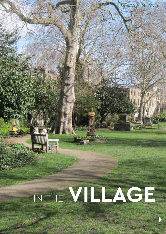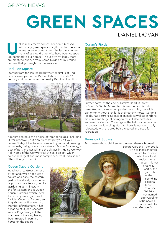### GRAYA NEWS

# **GREEN SPACES**

## DANIEL DOVAR

Inlike many metropolises, London is blessed with many green spaces, a gift that has becomen<br>increasingly important over the last year whered many of us would otherwise have been coupe<br>up, confined to our homes. In our own with many green spaces, a gift that has become increasingly important over the last year when many of us would otherwise have been couped are plenty to choose from, some hidden away around corners that you might not be aware of.

#### Red Lion Square

Starting from the Inn, heading west the first is at Red Lion Square, part of the Barbon Estate in the late 17th century and named after the nearby Red Lion Inn. It is



rumoured to hold the bodies of three regicides, including Oliver Cromwell, but don't let that put you off your coffee. Today it has been influenced by more left leaning individuals, being home to a statue of Fenner Brockway, a bust of Bertrand Russell and the always intriguing Conway Hall, home of the Conway Hall Ethical Society, which holds the largest and most comprehensive Humanist and Ethics library in the UK.

#### Coram's Fields



Further north, at the end of Lamb's Conduit Street is Coram's Fields. Access to this wonderland is only permitted to those accompanied by a child; 'no adult can enter without a child' is their catchy motto. Coram's Fields, has a surprising mix of animals as well as sandpits, zip wires and huge climbing frames. It also hosts fairs and events. Captain Coram gave the field his name after he set up the Foundling Hospital here; it was eventually relocated, with the area being cleared and used for recreation.

#### Brunswick Square

For those without children, to the west there is Brunswick Square Gardens – the public

twin to Mecklenburgh Square to the east, which is a local resident only area. This was originally part of the grounds of the **Foundling** Hospital (now Coram's Fields) and was named after Caroline of Brunswick, who was wife to King George IV.

#### Queen Square Gardens

Head north to Great Ormond Street and, while not quite a square or a park, the eastern part of the street, is a wonder of pots and planters – guerrilla gardening at its finest. At the far western end is Queen Square Gardens, which used to be the private garden of Sir John Cutler 1st Baronet, an English grocer, financier and Member of Parliament. It has a statute of Queen Charlotte, wife of King George III, the madness of the King having been treated in part in a house on the square.